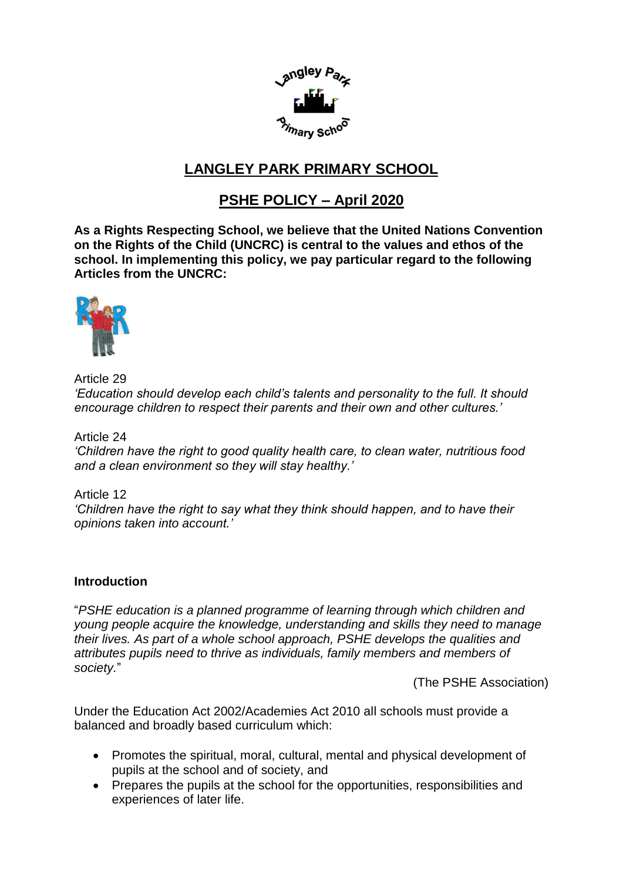

# **LANGLEY PARK PRIMARY SCHOOL**

# **PSHE POLICY – April 2020**

**As a Rights Respecting School, we believe that the United Nations Convention on the Rights of the Child (UNCRC) is central to the values and ethos of the school. In implementing this policy, we pay particular regard to the following Articles from the UNCRC:**



Article 29 *'Education should develop each child's talents and personality to the full. It should encourage children to respect their parents and their own and other cultures.'* 

Article 24

*'Children have the right to good quality health care, to clean water, nutritious food and a clean environment so they will stay healthy.'*

Article 12 *'Children have the right to say what they think should happen, and to have their opinions taken into account.'* 

# **Introduction**

"*PSHE education is a planned programme of learning through which children and young people acquire the knowledge, understanding and skills they need to manage their lives. As part of a whole school approach, PSHE develops the qualities and attributes pupils need to thrive as individuals, family members and members of society.*"

(The PSHE Association)

Under the Education Act 2002/Academies Act 2010 all schools must provide a balanced and broadly based curriculum which:

- Promotes the spiritual, moral, cultural, mental and physical development of pupils at the school and of society, and
- Prepares the pupils at the school for the opportunities, responsibilities and experiences of later life.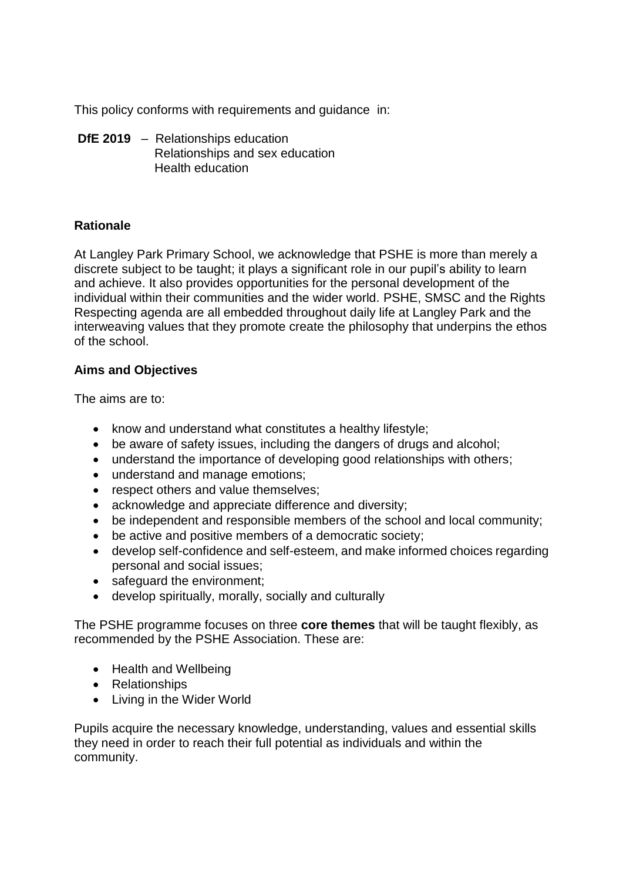This policy conforms with requirements and guidance in:

**DfE 2019** – Relationships education Relationships and sex education Health education

# **Rationale**

At Langley Park Primary School, we acknowledge that PSHE is more than merely a discrete subject to be taught; it plays a significant role in our pupil's ability to learn and achieve. It also provides opportunities for the personal development of the individual within their communities and the wider world. PSHE, SMSC and the Rights Respecting agenda are all embedded throughout daily life at Langley Park and the interweaving values that they promote create the philosophy that underpins the ethos of the school.

# **Aims and Objectives**

The aims are to:

- know and understand what constitutes a healthy lifestyle;
- be aware of safety issues, including the dangers of drugs and alcohol;
- understand the importance of developing good relationships with others;
- understand and manage emotions;
- respect others and value themselves;
- acknowledge and appreciate difference and diversity;
- be independent and responsible members of the school and local community;
- be active and positive members of a democratic society;
- develop self-confidence and self-esteem, and make informed choices regarding personal and social issues;
- safeguard the environment;
- develop spiritually, morally, socially and culturally

The PSHE programme focuses on three **core themes** that will be taught flexibly, as recommended by the PSHE Association. These are:

- Health and Wellbeing
- Relationships
- Living in the Wider World

Pupils acquire the necessary knowledge, understanding, values and essential skills they need in order to reach their full potential as individuals and within the community.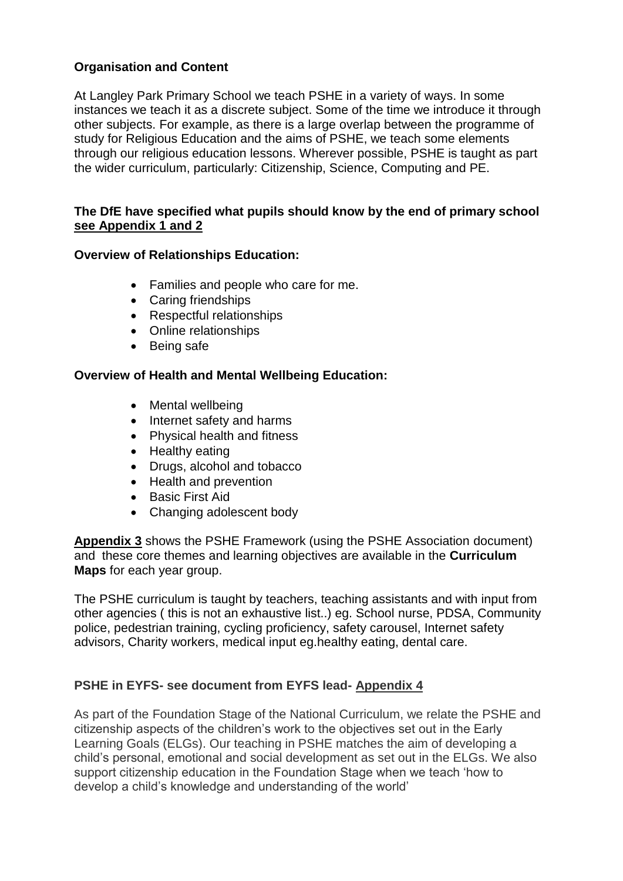# **Organisation and Content**

At Langley Park Primary School we teach PSHE in a variety of ways. In some instances we teach it as a discrete subject. Some of the time we introduce it through other subjects. For example, as there is a large overlap between the programme of study for Religious Education and the aims of PSHE, we teach some elements through our religious education lessons. Wherever possible, PSHE is taught as part the wider curriculum, particularly: Citizenship, Science, Computing and PE.

### **The DfE have specified what pupils should know by the end of primary school see Appendix 1 and 2**

### **Overview of Relationships Education:**

- Families and people who care for me.
- Caring friendships
- Respectful relationships
- Online relationships
- Being safe

### **Overview of Health and Mental Wellbeing Education:**

- Mental wellbeing
- Internet safety and harms
- Physical health and fitness
- Healthy eating
- Drugs, alcohol and tobacco
- Health and prevention
- Basic First Aid
- Changing adolescent body

**Appendix 3** shows the PSHE Framework (using the PSHE Association document) and these core themes and learning objectives are available in the **Curriculum Maps** for each year group.

The PSHE curriculum is taught by teachers, teaching assistants and with input from other agencies ( this is not an exhaustive list..) eg. School nurse, PDSA, Community police, pedestrian training, cycling proficiency, safety carousel, Internet safety advisors, Charity workers, medical input eg.healthy eating, dental care.

# **PSHE in EYFS- see document from EYFS lead- Appendix 4**

As part of the Foundation Stage of the National Curriculum, we relate the PSHE and citizenship aspects of the children's work to the objectives set out in the Early Learning Goals (ELGs). Our teaching in PSHE matches the aim of developing a child's personal, emotional and social development as set out in the ELGs. We also support citizenship education in the Foundation Stage when we teach 'how to develop a child's knowledge and understanding of the world'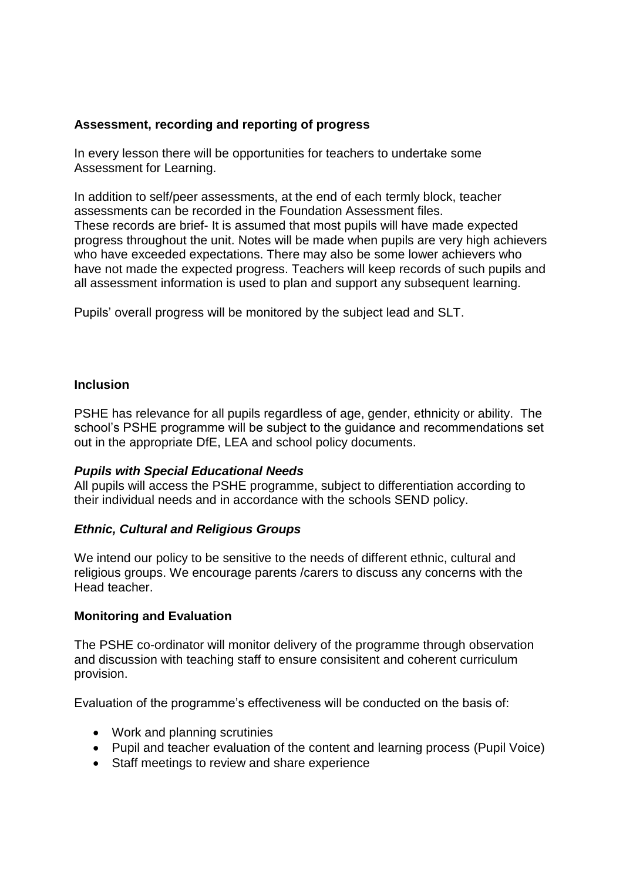### **Assessment, recording and reporting of progress**

In every lesson there will be opportunities for teachers to undertake some Assessment for Learning.

In addition to self/peer assessments, at the end of each termly block, teacher assessments can be recorded in the Foundation Assessment files. These records are brief- It is assumed that most pupils will have made expected progress throughout the unit. Notes will be made when pupils are very high achievers who have exceeded expectations. There may also be some lower achievers who have not made the expected progress. Teachers will keep records of such pupils and all assessment information is used to plan and support any subsequent learning.

Pupils' overall progress will be monitored by the subject lead and SLT.

#### **Inclusion**

PSHE has relevance for all pupils regardless of age, gender, ethnicity or ability. The school's PSHE programme will be subject to the guidance and recommendations set out in the appropriate DfE, LEA and school policy documents.

#### *Pupils with Special Educational Needs*

All pupils will access the PSHE programme, subject to differentiation according to their individual needs and in accordance with the schools SEND policy.

#### *Ethnic, Cultural and Religious Groups*

We intend our policy to be sensitive to the needs of different ethnic, cultural and religious groups. We encourage parents /carers to discuss any concerns with the Head teacher.

#### **Monitoring and Evaluation**

The PSHE co-ordinator will monitor delivery of the programme through observation and discussion with teaching staff to ensure consisitent and coherent curriculum provision.

Evaluation of the programme's effectiveness will be conducted on the basis of:

- Work and planning scrutinies
- Pupil and teacher evaluation of the content and learning process (Pupil Voice)
- Staff meetings to review and share experience